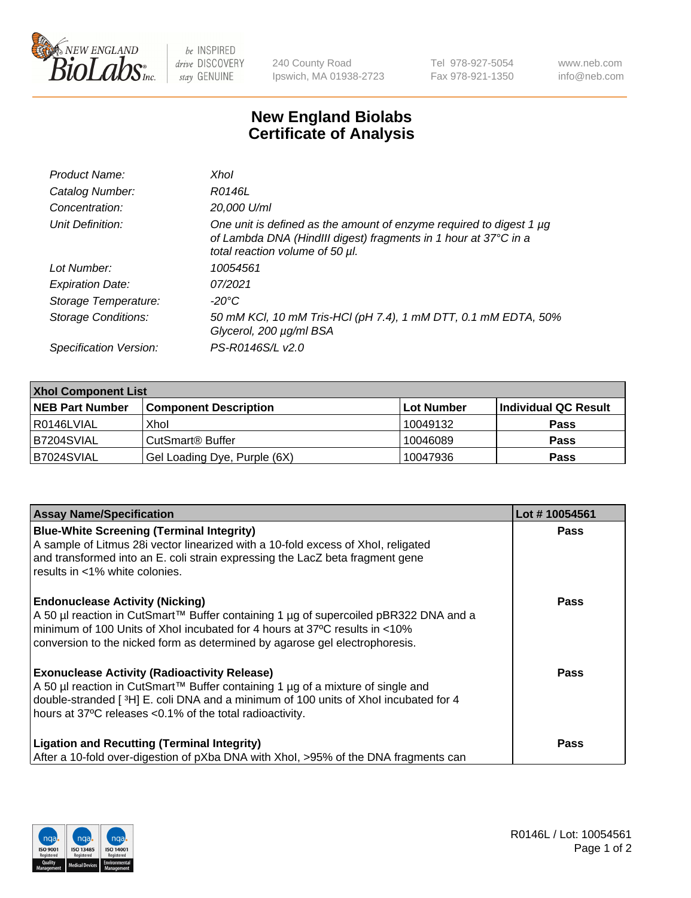

 $be$  INSPIRED drive DISCOVERY stay GENUINE

240 County Road Ipswich, MA 01938-2723 Tel 978-927-5054 Fax 978-921-1350 www.neb.com info@neb.com

## **New England Biolabs Certificate of Analysis**

| Product Name:              | Xhol                                                                                                                                                                      |
|----------------------------|---------------------------------------------------------------------------------------------------------------------------------------------------------------------------|
| Catalog Number:            | R0146L                                                                                                                                                                    |
| Concentration:             | 20,000 U/ml                                                                                                                                                               |
| Unit Definition:           | One unit is defined as the amount of enzyme required to digest 1 µg<br>of Lambda DNA (HindIII digest) fragments in 1 hour at 37°C in a<br>total reaction volume of 50 µl. |
| Lot Number:                | 10054561                                                                                                                                                                  |
| <b>Expiration Date:</b>    | 07/2021                                                                                                                                                                   |
| Storage Temperature:       | -20°C                                                                                                                                                                     |
| <b>Storage Conditions:</b> | 50 mM KCl, 10 mM Tris-HCl (pH 7.4), 1 mM DTT, 0.1 mM EDTA, 50%<br>Glycerol, 200 µg/ml BSA                                                                                 |
| Specification Version:     | PS-R0146S/L v2.0                                                                                                                                                          |

| <b>Xhol Component List</b> |                              |             |                      |  |  |
|----------------------------|------------------------------|-------------|----------------------|--|--|
| <b>NEB Part Number</b>     | <b>Component Description</b> | ∣Lot Number | Individual QC Result |  |  |
| R0146LVIAL                 | Xhol                         | 10049132    | <b>Pass</b>          |  |  |
| B7204SVIAL                 | CutSmart® Buffer             | 10046089    | <b>Pass</b>          |  |  |
| B7024SVIAL                 | Gel Loading Dye, Purple (6X) | 10047936    | <b>Pass</b>          |  |  |

| <b>Assay Name/Specification</b>                                                                                                                                                                                                                                                             | Lot #10054561 |
|---------------------------------------------------------------------------------------------------------------------------------------------------------------------------------------------------------------------------------------------------------------------------------------------|---------------|
| <b>Blue-White Screening (Terminal Integrity)</b><br>A sample of Litmus 28i vector linearized with a 10-fold excess of Xhol, religated<br>and transformed into an E. coli strain expressing the LacZ beta fragment gene                                                                      | <b>Pass</b>   |
| results in <1% white colonies.                                                                                                                                                                                                                                                              |               |
| <b>Endonuclease Activity (Nicking)</b><br>A 50 µl reaction in CutSmart™ Buffer containing 1 µg of supercoiled pBR322 DNA and a<br>minimum of 100 Units of Xhol incubated for 4 hours at 37°C results in <10%<br>conversion to the nicked form as determined by agarose gel electrophoresis. | <b>Pass</b>   |
| <b>Exonuclease Activity (Radioactivity Release)</b><br>A 50 µl reaction in CutSmart™ Buffer containing 1 µg of a mixture of single and<br>double-stranded [3H] E. coli DNA and a minimum of 100 units of Xhol incubated for 4<br>hours at 37°C releases <0.1% of the total radioactivity.   | <b>Pass</b>   |
| <b>Ligation and Recutting (Terminal Integrity)</b><br>After a 10-fold over-digestion of pXba DNA with Xhol, >95% of the DNA fragments can                                                                                                                                                   | Pass          |